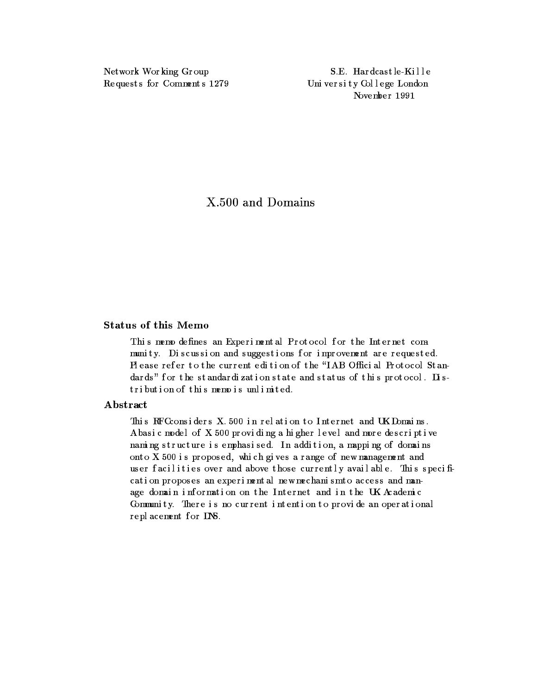Network Wor king Gr oup Reque st s for Comment s 1279

S.E. Har dcas t le -Kille Uni versity College London November 1991

X.500 and Domains

# Status of this Memo

This memo defines an Experimental Protocol for the Internet community. Discussion and suggestions for improvement are requested. Pl ease refer to the current edition of the "IAB Official Protocol Standards" for the standardization state and status of this protocol. Distribution of this memo is unlimited.

# Abstract

This RFC considers X.500 in relation to Internet and UK Domains. Abasic model of X.500 providing a higher level and more descriptive naming structure is emphasised. In addition, a mapping of domains onto X. 500 is proposed, which gives a range of new management and us er facilities over and above those currently available. This specification proposes an experimental new mechanism to access and manage domain information on the Internet and in the UK Academic Community. There is no current intention to provide an operational repl acement f or DNS.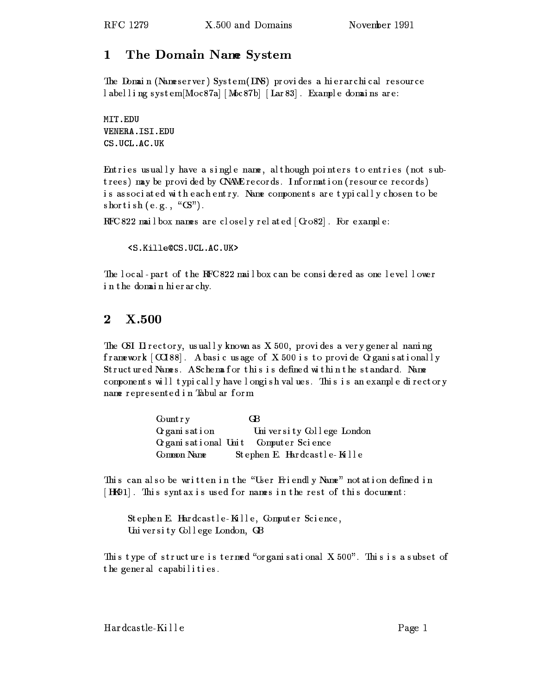# 1 1 The Domain Name System

The Domain (Nameserver) System (DNS) provides a hierarchical resource l abelling system[Moc87a] [Moc87b] [Lar 83]. Example domains are:

MIT.EDU VENERA.ISI.EDU CS.UCL.AC.UK

Entries usually have a single name, although pointers to entries (not subtrees) may be provided by CNAME records. Information (resource records) is associated with each entry. Name components are typically chosen to be  $\sh{or\,t}$  ish  $\th{(e.g., ``CS")}$  .

RFC 822 mailbox names are closely related  $\lceil$  Gro82 $\rceil$ . For example:

<S.Kille@CS.UCL.AC.UK>

The local-part of the RFC822 mailbox can be considered as one level lower in the domain hierarchy.

# $\overline{2}$  $\mathbf{X.500}$

The CSI Di rectory, usually known as  $X$  500, provides a very general naming framework  $\lceil \text{C} C 188 \rceil$ . A basicus age of X.500 is to provide Organisationally Structured Names. A Schema for this is defined within the standard. Name components will typi cally have longi sh values. This is an example directory name represented i n Tabul ar f orm:

| Count r y    | GB.                                  |
|--------------|--------------------------------------|
| Organisation | University College London            |
|              | Organisational Unit Computer Science |
| Common Name  | Stephen E. Hardcastle-Kille          |

This can also be written in the "User Friendly Name" notation defined in  $\lceil$  HK91]. This syntax is used for names in the rest of this document:

Stephen E. Hardcastle-Kulle, Computer Science, Uni versi ty Col l ege London, GB

This type of structure is termed "organisational  $X.500$ ". This is a subset of the general capabilities.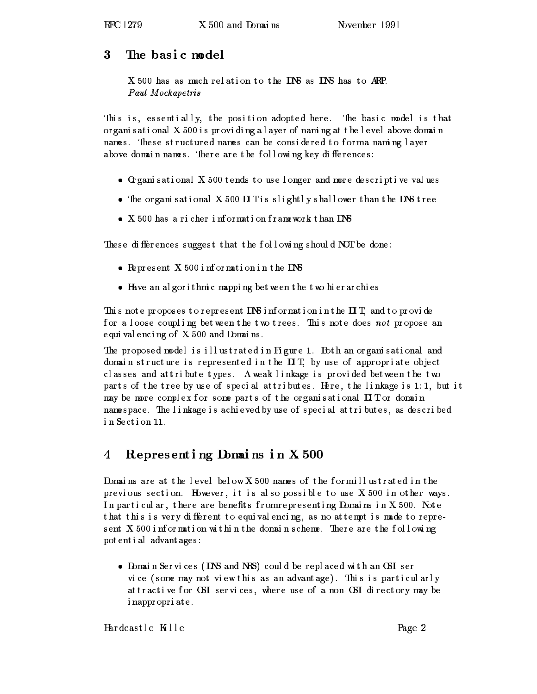#### 3 The basic model

X 500 has as much relation to the DNS as DNS has to ARP. Paul Mockapetris

This is, essentially, the position adopted here. The basic model is that or gani s at i onal  $X$  500 is providing a layer of naming at the level above domain names. These structured names can be considered to forma naming layer above domain names. There are the following key differences:

- $\bullet$  Creamisational X.500 tends to use longer and more descriptive values
- The organisational X500 DIT is slightly shall ower than the DNS tree
- X 500 has a richer information framework than DNS

These differences suggest that the following should NOT be done:

- $\bullet$  Represent X.500 information in the DNS
- Have an algorithmic mapping between the two hierarchies

This note proposes to represent DNS information in the  $\mathbf{I}$ T, and to provide for a loose coupling between the two trees. This note does not propose an equi val enci ng of X. 500 and Domai ns .

The proposed model is illustrated in Figure 1. Both an organisational and domain structure is represented in the  $\Pi$ T, by use of appropriate object c lasses and at tribute types. A weak linkage is provided between the two parts of the tree by use of special attributes. Here, the linkage is 1:1, but it may be more complex for some parts of the organisational  $\mathbf H\, \mathbf T$  or domain namespace. The linkage is achieved by use of special attributes, as described in Section 11.

## Repres enting Domains in X 500 4

Domains are at the level below X 500 names of the formillus trated in the previous section. However, it is also possible to use  $X$  500 in other ways. In particular, there are benefits from representing Domains in X 500. Note that this is very different to equivalencing, as no attempt is made to represent  $X$  500 information within the domain scheme. There are the following pot ent i al advant ages:

• Domain Services (DNS and NRS) could be replaced with an OSI service (some may not view this as an advantage). This is particularly at tractive for OSI services, where use of a non-OSI directory may be i nappr opr i at e .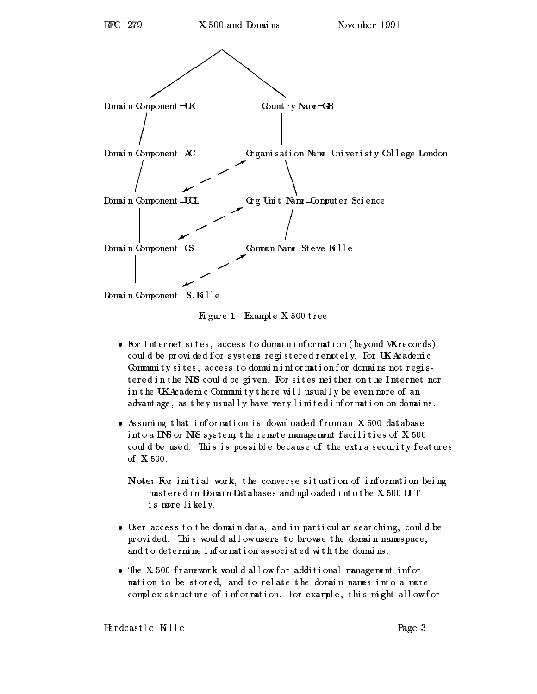

Domain Component=S. Kille

Fi gur e 1: Example X. 500 t r ee

- $\bullet$  For Internet sites, access to domain information (beyond MX records) could be provided for systems registered remotely. For UKAcademic Community sites, access to domain information for domains not registered in the NRS could be given. For sites neither on the Internet nor in the UKAcademic Community there will usually be even more of an advant age, as they usually have very limited information on domains.
- Assuming that information is downloaded from an X 500 database into a DNS or NRS system, the remote management facilities of  $X$  500 could be used. This is possible because of the extra security features of X. 500.

Note: For initial work, the converse situation of information being  $ms\,t\,er\,ed\,i\,n$   $Dma\,i\,n$   $Dat\,abases$  and uploaded into the X 500  $\rm II\,T$ is mor e l i kel y.

- User access to the domain data, and in particul ar searching, could be provided. This would allow users to browse the domain namespace, and to determine information associated with the domains.
- The X 500 framework would allow for additional management information to be stored, and to relate the domain names into a more complex structure of information. For example, this might allow for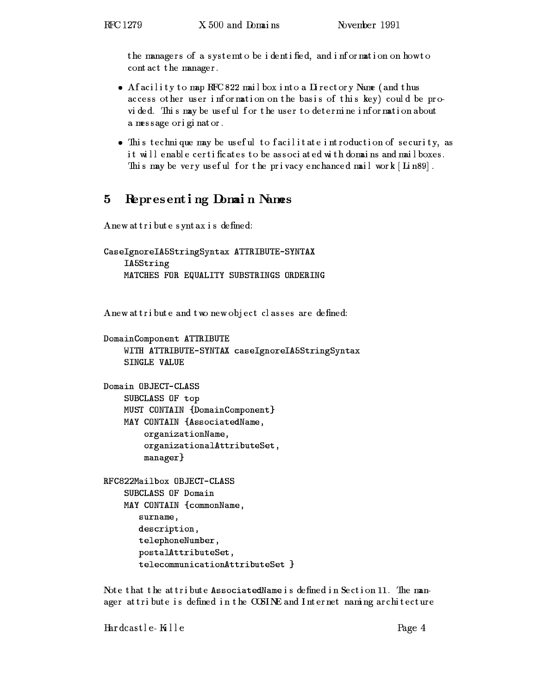the managers of a systemto be identified, and information on how to contact the manager.

- A facility to map RFC 822 mailbox into a Directory Name (and thus access other user information on the basis of this key) could be provided. This may be useful for the user to determine information about a me s s age or i gi nat or .
- $\bullet$  This techni que may be useful to facilitate introduction of security, as it will enable certificates to be associated with domains and mailboxes. This may be very useful for the privacy enchanced mail work  $\lceil \operatorname{Li} \text{n}89 \rceil$  .

## 5 Representing Domai n Names 5

A new at tribute syntax is defined:

```
CaseIgnoreIA5StringSyntax ATTRIBUTE-SYNTAX
    IA5String
    MATCHES FOR EQUALITY SUBSTRINGS ORDERING
```
A new at tribute and two new object classes are defined:

```
DomainComponent ATTRIBUTE
    WITH ATTRIBUTE-SYNTAX caseIgnoreIA5StringSyntax
    SINGLE VALUE
Domain OBJECT-CLASS
    SUBCLASS OF top
    MUST CONTAIN {DomainComponent}
    MAY CONTAIN {AssociatedName,
        organizationName,
        organizationalAttributeSet,
        manager}
    SUBCLASS OF Domain
    MAY CONTAIN {commonName,
       surname,
       description,
       telephoneNumber,
       postalAttributeSet,
       telecommunicationAttributeSet }
```
Note that the attribute AssociatedName is defined in Section 11. The manager attribute is defined in the COSINE and Internet naming architecture

 $Hardcast le- K1 le$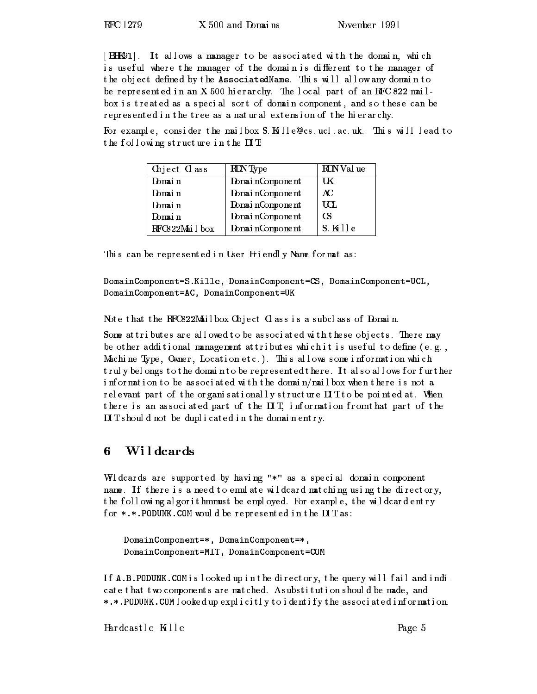[BHK91]. It allows a manager to be associated with the domain, which is useful where the manager of the domain is different to the manager of the object defined by the AssociatedName. This will allow any domain to be represented in an X 500 hierarchy. The local part of an RFC 822 mailbox is treated as a special sort of domain component, and so these can be represented in the tree as a natural extension of the hierarchy.

For example, consider the mailbox S. Kille @cs.ucl.ac.uk. This will lead to the following structure in the  $\Pi$  T:

| Object Class  | <b>RDN</b> Type | RDN Val ue  |
|---------------|-----------------|-------------|
| Domain        | DomainComponent | UК          |
| Domain        | DomainComponent | AC          |
| Domain        | DomainComponent | UCL.        |
| Domain        | DomainComponent | CS.         |
| RFC822Mailbox | DomainComponent | $S$ . Kille |

This can be represented in User Friendly Name format as:

DomainComponent=S.Kille, DomainComponent=CS, DomainComponent=UCL, DomainComponent=AC, DomainComponent=UK

Note that the RFC822Mailbox Object Class is a subclass of Domain.

Some at tributes are allowed to be associated with these objects. There  $m$ ay be other additional management attributes which it is useful to define (e.g., Machine Type, Owner, Location etc.). This allows some information which truly belongs to the domain to be represented there. It also allows for further information to be associated with the domain/mailbox when there is not a relevant part of the organisationally structure  $\mathbf H\mathbf T$  to be pointed at. When there is an associated part of the  $\pi$ , information from that part of the  $\mathbf{I}$  Ts hould not be duplicated in the domain entry.

#### Wildcards 6

Wldcards are supported by having "\*" as a special domain component name. If there is a need to emulate wildcard matching using the directory, t he f ol l owi ng al gor i t hmmust be empl oyed. For exampl e, the wildcar d entry for  $\ast$  .  $\ast$  . PODUNK . COM would be represented in the  $\textbf{I} \textbf{T}$  as :

DomainComponent=\*, DomainComponent=\*, DomainComponent=MIT, DomainComponent=COM

If A.B.PODUNK.COM is looked up in the directory, the query will fail and indicate that two components are matched. Asubstitution should be made, and \*.\*. PODUNK.COM looked up explicitly to identify the associated information.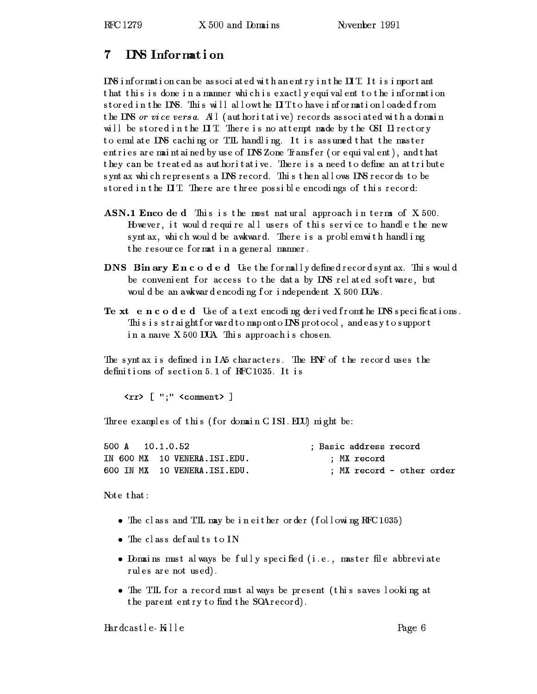#### DNS Information 7

DNS information can be associated with an entry in the  $\text{I} \text{T}$ . It is important that this is done in a manner which is exactly equivalent to the information st or ed in the DNS. This will allow the  $\text{I} \mathbf{T}$  to have information loaded from the DNS or vice versa. All (authoritative) records associated with a domain will be stored in the  $\pi$ . There is no attempt made by the OSI Directory to emulate DNS caching or TTL handling. It is assumed that the master entries are maintained by use of DNS Zone Transfer (or equivalent), and that they can be treated as authoritative. There is a need to define an attribute s ynt ax whi ch represents a DNS r ecor d. Thi s then al l ows DNS r ecor ds to be st or ed in the DIT. There are three possible encodings of this record:

- ASN.1 Enco de d This is the most natural approach in terms of X.500. However, it would require all users of this service to handle the new s ynt ax, whi ch would be awkward. There is a problem with handling the resource format in a general manner.
- DNS Bin ary Encoded Use the formally defined records yntax. This would be convenient for access to the data by  $D\!N\!S$  related software, but would be an awkward encoding for independent  $X$  500 DUAs.
- Te xt encoded Use of a text encoding derived from the DNS specifications. This is straightforward to map onto DNS protocol , and easy to support ina nave X. 500 DUA. Thi s appr oach i s chos en.

The syntax is defined in  $I$  A5 characters. The ENF of the record uses the definitions of section 5.1 of RFC1035. It is

<rr> [ ";" <comment> ]

Three examples of this (for domain CISI.EDU) might be:

| 500 A 10.1.0.52 |  |                              |  | : Basic address record |                           |  |
|-----------------|--|------------------------------|--|------------------------|---------------------------|--|
|                 |  | IN 600 MX 10 VENERA.ISI.EDU. |  | : MX record            |                           |  |
|                 |  | 600 IN MX 10 VENERA.ISI.EDU. |  |                        | : MX record - other order |  |

Note that:

- The class and TIL may be in either order (following RFC 1035)
- $\bullet$  The class defaults to IN
- Domains must al ways be fully specified (i.e., master file abbreviate rul es are not used).
- The TIL for a record must always be present (this saves looking at the parent entry to find the SOA record).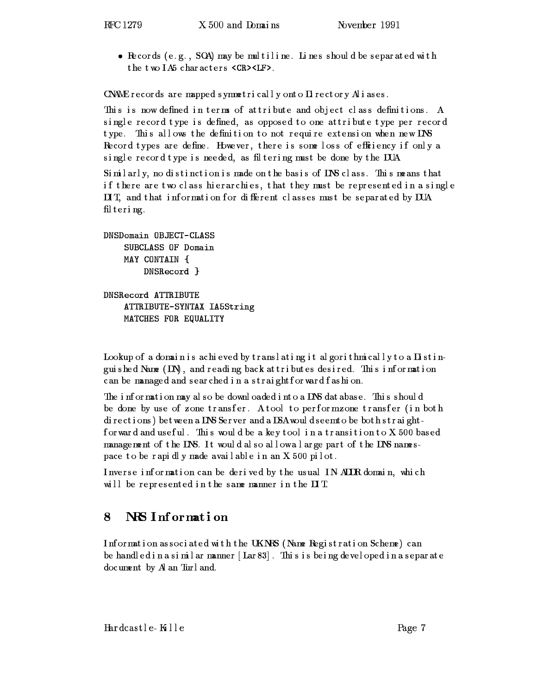• Records (e.g., SOA) may be multiline. Lines should be separated with the two  $I$ A5 characters  $\langle$ CR> $\langle$ LF>.

CNAME  $r$  ecords are mapped symmetrically onto  $D$  rectory  $A$  i as es.

This is now defined in terms of attribute and object class definitions. A single record type is defined, as opposed to one attribute type per record type. This allows the definition to not require extension when new DNS Record types are define. However, there is some loss of efficiency if only a single record type is needed, as filtering must be done by the DUA.

Similarly, no distinction is made on the basis of DNS class. This means that if there are two class hierarchies, that they must be represented in a single II T, and that information for different classes must be separated by DUA fil tering.

```
DNSDomain OBJECT-CLASS
    SUBCLASS OF Domain
    MAY CONTAIN {
        DNSRecord }
```
DNSRecord ATTRIBUTE ATTRIBUTE-SYNTAX IA5String MATCHES FOR EQUALITY

Lookup of a domain is achieved by translating it algorithmically to a Distinguished Name  $(1)$ , and reading back at tributes desired. This information can be managed and sear ched in a straight for ward fashion.

The information may also be downloaded into a DNS database. This should be done by use of zone transfer. A tool to performzone transfer (in both di rections) between a DNS Server and a DSA would seem to be both straightfor ward and useful. This would be a key tool in a transition to  $X$  500 based management of t he DNS. It woul d al s o al l owa l ar ge par t of t he DNS namespace t o be r api dlymade availabl e i n an X. 500 pi l ot .

I nverse i nf ormat i on can be deri ved by the us ual I N- ADDR domai n, whi ch will be represented in the same manner in the  $\Box$  T.

## NRS Information 8

Information associated with the UKNRS (Name Registration Scheme) can be handl ed in a similar manner  $\lceil$  Lar 83 $\rceil$  . This is being devel oped in a separate document by Al an Tur l and.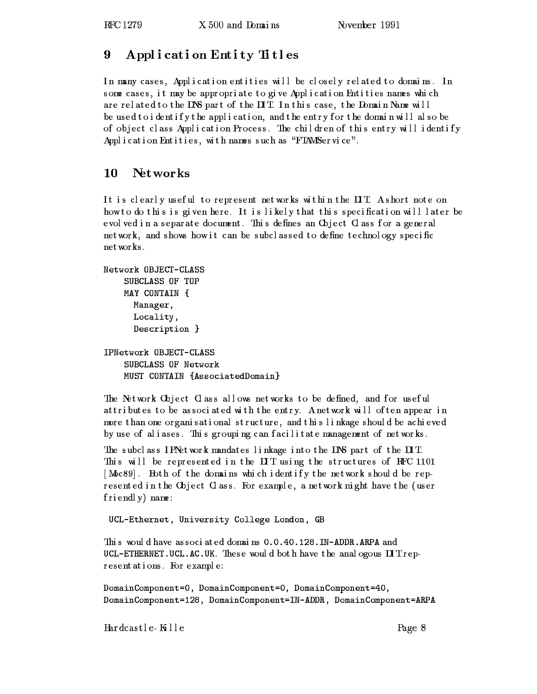# 9 Application Entity Titles

In many cases, Application entities will be closely related to domains. In s ome cases, it may be appropriate to give Application Entities names which are related to the DNS part of the  $\overline{a}$  T. In this case, the Domain Name will be used to identify the application, and the entry for the domain will also be of object class Application Process. The children of this entry will identify Application Entities, with names such as "FTAMService".

# 10 Networks

It is clearly useful to represent networks within the DIT. A short note on how to do this is given here. It is likely that this specification will later be evol ved in a separate document. This defines an Object Class for a general network, and shows how it can be subclassed to define technology specific networ ks .

```
Network OBJECT-CLASS
    SUBCLASS OF TOP
    MAY CONTAIN {
      Manager,
      Locality,
      Description }
IPNetwork OBJECT-CLASS
```

```
SUBCLASS OF Network
MUST CONTAIN {AssociatedDomain}
```
The Network Object Class allows networks to be defined, and for useful at tributes to be associated with the entry. A network will often appear in more than one organisational structure, and this linkage should be achieved by use of aliases. This grouping can facilitate management of networks.

The subclass I PNetwork mandates linkage into the DNS part of the  $\overline{\text{II}}$ . This will be represented in the  $\overline{a}$  IT using the structures of RFC 1101 [Moc89]. Both of the domains which identify the network should be represented in the Object Class. For example, a network might have the (user f ri endl y) name :

UCL-Ethernet, University College London, GB

This would have associated domains 0.0.40.128. IN-ADDR.ARPA and UCL-ETHERNET. UCL.AC.UK. These would both have the anal ogous  $\mathbf{I}$  T represent at i ons. For exampl e:

```
DomainComponent=0, DomainComponent=0, DomainComponent=40,
DomainComponent=128, DomainComponent=IN-ADDR, DomainComponent=ARPA
```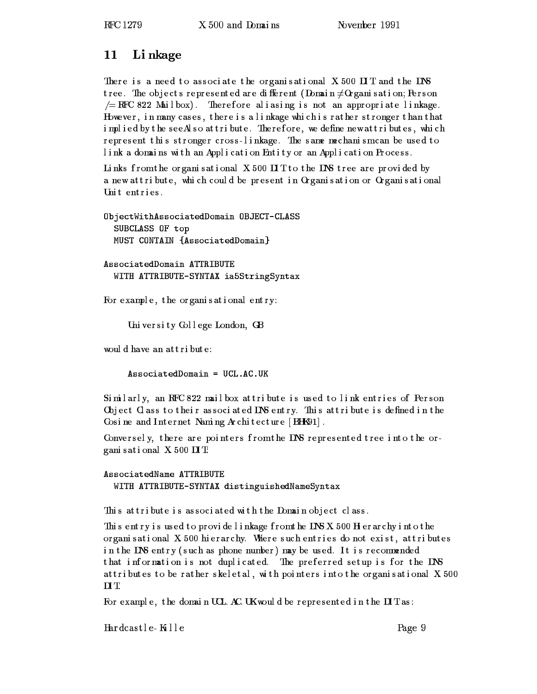# 11 Li nkage

There is a need to associate the organisational  $X$  500  $\Box$  T and the  $\Box$ NS tree. The objects represented are different (Domain  $\neq$  Organi sation; Person  $\gamma =$  RFC 822 Mailbox). Therefore aliasing is not an appropriate linkage. However, in many cases, there is a linkage which is rather stronger than that implied by the see Also at tribute. Therefore, we define newat tributes, which represent this stronger cross-linkage. The same mechanism can be used to link a domains with an Application Entity or an Application Process.

Links from the organisational X 500  $\text{I}$ T to the DNS tree are provided by a new attribute, which could be present in Organisation or Organisational Unit entries.

ObjectWithAssociatedDomain OBJECT-CLASS SUBCLASS OF top MUST CONTAIN {AssociatedDomain}

AssociatedDomain ATTRIBUTE WITH ATTRIBUTE-SYNTAX ia5StringSyntax

For example, the organisational entry:

Uni versi ty Col l ege London, GB

would have an attribute:

AssociatedDomain = UCL.AC.UK

Similarly, an RFC 822 mailbox at tribute is used to link entries of Person Object Class to their associated DNS entry. This attribute is defined in the Cosine and Internet Naming Architecture  $\vert$  BHK91.

Conversel y, there are pointers from the DNS represented tree into the organi s at i onal  $X$  500  $\Pi$  T:

# AssociatedName ATTRIBUTE WITH ATTRIBUTE-SYNTAX distinguishedNameSyntax

This at tribute is associated with the Domain object class.

This entry is used to provide linkage from the DNS X 500 H erarchy into the or gani sational  $X$  500 hierarchy. Where such entries do not exist, at tributes in the DNS entry (such as phone number) may be used. It is recommended that information is not duplicated. The preferred setup is for the DNS at tributes to be rather skeletal, with pointers into the organisational X 500  $\mathbf{L}$   $\mathbf{L}$ 

For example, the domain UCL. AC. UK would be represented in the  $\mathbf{I} \mathbf{T}$  as: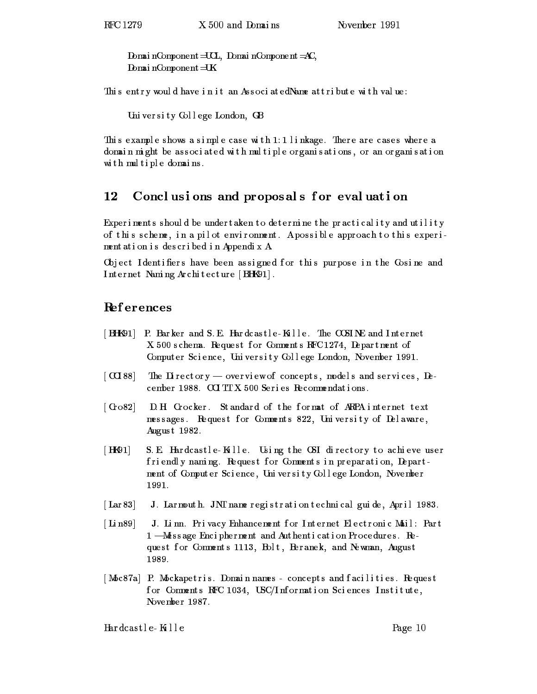Domai nComponent=UCL, Domai nComponent=AC, DomainComponent=UK

This entry would have in it an AssociatedName at tribute with value:

Uni versi ty Col l ege London, GB

This example shows a simple case with  $1:1$  linkage. There are cases where a domai n mi ght be as s oc i at ed wi th mul tipl e or gani s at i ons , or an or gani s at i on wi th mul tiple domai ns .

## 12 Conclusions and proposals for evaluation

Experiments should be under taken to determine the practicality and utility of t hi s scheme, i n a pi l ot envi r onment. Apos s i bl e appr oach t o t hi s experi ment at i on i s descri bed i n AppendixA.

Object I dentifiers have been assigned for this purpose in the Cosine and I nternet Nami ng Archi tecture [BHK91] .

# Ref erences

- [ BHK91] P. Barker and S.E. Hardcastle-Kille. The COSINE and Internet X 500 s chema. Request for Comments RFC 1274, Department of Computer Science, University College London, November 1991.
- $\lceil \cot 88 \rceil$  The Directory overview of concepts, models and services, December 1988.  $\rm{CCTT}$  X 500 Seri es Recommendations.
- [ Gro82] D. H. Grocker. Standard of the format of ARPA internet text messages. Request for Comments 822, University of Delaware, Augus t 1982.
- [HK91] S.E. Hardcastle-Kalle. Using the OSI directory to achieve user friendly naming. Request for Comments in preparation, Department of Computer Science, University College London, November 1991.
- [Lar 83] J. Lar nouth. JNT name registration technical guide, April 1983.
- [Lin89] J. Linn. Privacy Enhancement for Internet Electronic Mail: Part  $1$   $-M$ ess age Encipherment and Authentication Procedures. Request for Comments 1113, Bolt, Beranek, and Newman, August 1989.
- [Moc87a] P. Mockapetris. Domain names concepts and facilities. Request for Comments RFC 1034, USC/Information Sciences Institute, November 1987.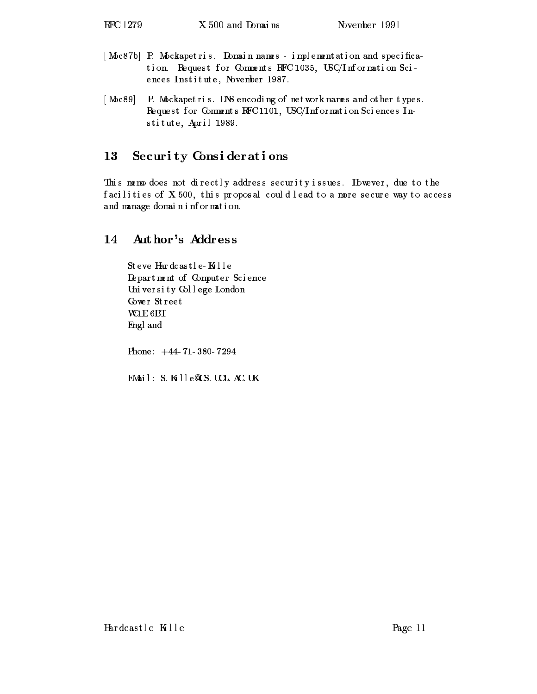- [Moc87b] P. Mockapetris. Domain names implementation and specification. Request for Comments RFC 1035, USC/Information Sciences Institute, November 1987.
- [Moc89] P. Mockapetris. DNS encoding of network names and other types. Request for Comments RFC1101, USC/Information Sciences Institute, April 1989.

### Security Considerations 13

This memo does not directly address security issues. However, due to the facilities of X 500, this proposal could lead to a more secure way to access and manage domain information.

# 14 Author's Address

Steve Hardcastle-Kille Depar tment of Computer Sci ence Uni versi ty Col l ege London Gower Street WC1E 6BT Engl and

Phone:  $+44-71-380-7294$ 

EMail: S. Kille QCS. UCL. AC. UK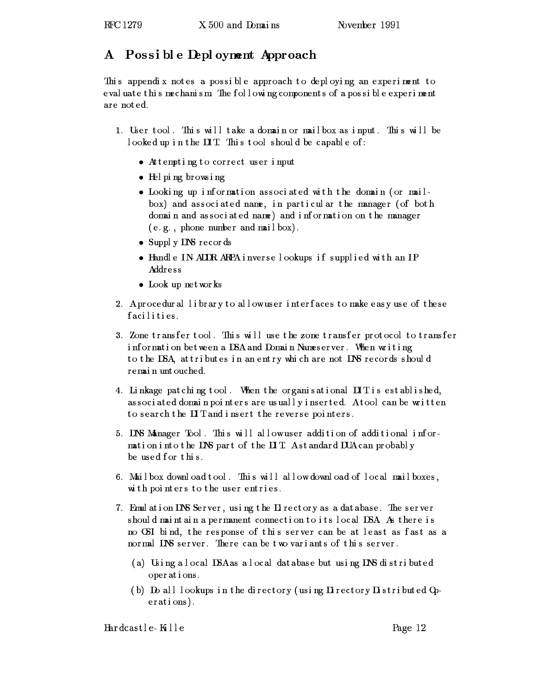### Possible Deployment Approach  ${\bf A}^-$

This appendix notes a possible approach to deploying an experiment to eval uat e thismechanism. The following components of a possible experiment are noted.

- 1. User tool. This will take a domain or mailbox as input. This will be l ooked up in the IIT. This tool should be capable of :
	- Attempting to correct user input
	- Hel pi ng br owsi ng
	- Looking up information associated with the domain (or mailbox) and associated name, in particular the manager (of both domain and associated name) and information on the manager  $(e, g, p$ hone number and mailbox).
	- Supply DNS records
	- Handle IN- ADDR. ARPA inverselookups if supplied with an IP Address
	- Look up networ ks
- 2. A procedural library to allow user interfaces to make easy use of these facilities.
- 3. Zone t r ans f e r t ool . This will use the zone t r ansf er pr ot ocol t o t r ansf er information between a DSA and Domain Nameserver. When writing to the DSA, at tributes in an entry which are not DNS records should remain untouched.
- 4. Linkage pat ching tool. When the organisational IIT is established, associated domain pointers are usually inserted. Atool can be written to search the  $\pi$  and insert the reverse pointers.
- 5. DNS Manager Tool. This will allow user addition of additional information into the DNS part of the  $\overline{II}T$ . A standard DUA can probably be used for this.
- 6. Mailbox download tool. This will allow download of local mailboxes, wi th poi nters to the user entri es.
- 7. Emulation DNS Server, using the Directory as a database. The server should maintain a permanent connection to its local  $\mathtt{DSA}$  As there is no OSI bind, the response of this server can be at least as fast as a normal DNS server. There can be two variants of this server.
	- ( a) Usi ng a l ocal DSAas a l ocal dat abas e but usi ng DNS di stri buted ope r at i ons .
	- (b) Do all lookups in the directory (using  $\overline{a}$  rectory  $\overline{b}$  stributed  $\overline{a}$ ). erations).